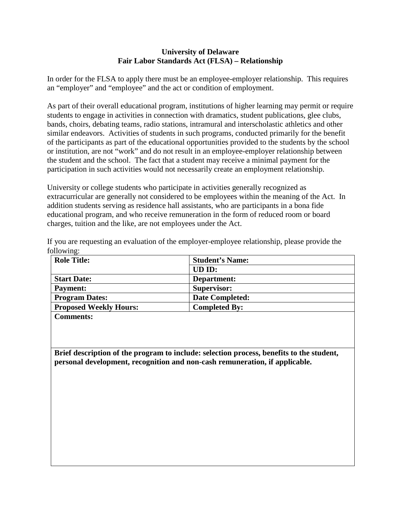## **University of Delaware Fair Labor Standards Act (FLSA) – Relationship**

In order for the FLSA to apply there must be an employee-employer relationship. This requires an "employer" and "employee" and the act or condition of employment.

As part of their overall educational program, institutions of higher learning may permit or require students to engage in activities in connection with dramatics, student publications, glee clubs, bands, choirs, debating teams, radio stations, intramural and interscholastic athletics and other similar endeavors. Activities of students in such programs, conducted primarily for the benefit of the participants as part of the educational opportunities provided to the students by the school or institution, are not "work" and do not result in an employee-employer relationship between the student and the school. The fact that a student may receive a minimal payment for the participation in such activities would not necessarily create an employment relationship.

University or college students who participate in activities generally recognized as extracurricular are generally not considered to be employees within the meaning of the Act. In addition students serving as residence hall assistants, who are participants in a bona fide educational program, and who receive remuneration in the form of reduced room or board charges, tuition and the like, are not employees under the Act.

| <b>Role Title:</b>            | <b>Student's Name:</b> |
|-------------------------------|------------------------|
|                               | UD ID:                 |
| <b>Start Date:</b>            | Department:            |
| <b>Payment:</b>               | <b>Supervisor:</b>     |
| <b>Program Dates:</b>         | <b>Date Completed:</b> |
| <b>Proposed Weekly Hours:</b> | <b>Completed By:</b>   |
| $\sim$                        |                        |

If you are requesting an evaluation of the employer-employee relationship, please provide the following:

**Comments:**

**Brief description of the program to include: selection process, benefits to the student, personal development, recognition and non-cash remuneration, if applicable.**